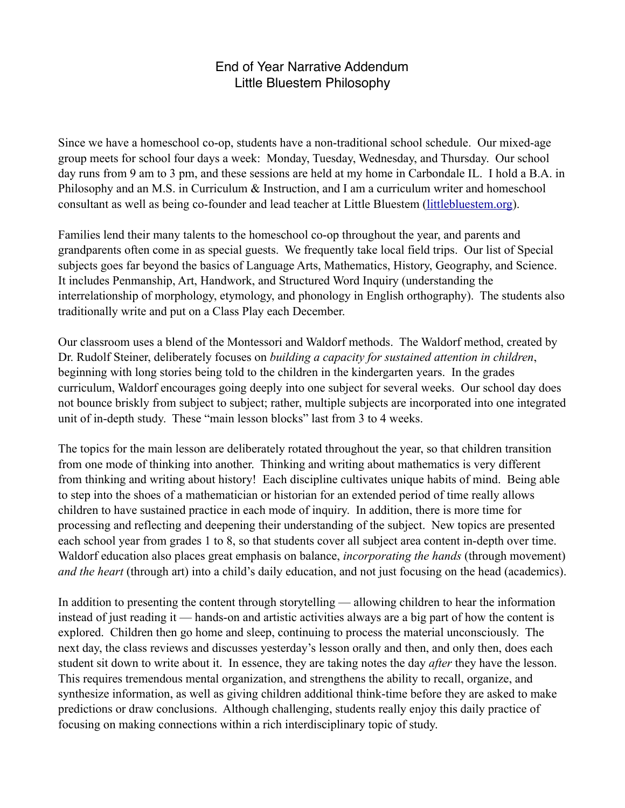## End of Year Narrative Addendum Little Bluestem Philosophy

Since we have a homeschool co-op, students have a non-traditional school schedule. Our mixed-age group meets for school four days a week: Monday, Tuesday, Wednesday, and Thursday. Our school day runs from 9 am to 3 pm, and these sessions are held at my home in Carbondale IL. I hold a B.A. in Philosophy and an M.S. in Curriculum & Instruction, and I am a curriculum writer and homeschool consultant as well as being co-founder and lead teacher at Little Bluestem [\(littlebluestem.org](http://littlebluestem.org)).

Families lend their many talents to the homeschool co-op throughout the year, and parents and grandparents often come in as special guests. We frequently take local field trips. Our list of Special subjects goes far beyond the basics of Language Arts, Mathematics, History, Geography, and Science. It includes Penmanship, Art, Handwork, and Structured Word Inquiry (understanding the interrelationship of morphology, etymology, and phonology in English orthography). The students also traditionally write and put on a Class Play each December.

Our classroom uses a blend of the Montessori and Waldorf methods. The Waldorf method, created by Dr. Rudolf Steiner, deliberately focuses on *building a capacity for sustained attention in children*, beginning with long stories being told to the children in the kindergarten years. In the grades curriculum, Waldorf encourages going deeply into one subject for several weeks. Our school day does not bounce briskly from subject to subject; rather, multiple subjects are incorporated into one integrated unit of in-depth study. These "main lesson blocks" last from 3 to 4 weeks.

The topics for the main lesson are deliberately rotated throughout the year, so that children transition from one mode of thinking into another. Thinking and writing about mathematics is very different from thinking and writing about history! Each discipline cultivates unique habits of mind. Being able to step into the shoes of a mathematician or historian for an extended period of time really allows children to have sustained practice in each mode of inquiry. In addition, there is more time for processing and reflecting and deepening their understanding of the subject. New topics are presented each school year from grades 1 to 8, so that students cover all subject area content in-depth over time. Waldorf education also places great emphasis on balance, *incorporating the hands* (through movement) *and the heart* (through art) into a child's daily education, and not just focusing on the head (academics).

In addition to presenting the content through storytelling — allowing children to hear the information instead of just reading it — hands-on and artistic activities always are a big part of how the content is explored. Children then go home and sleep, continuing to process the material unconsciously. The next day, the class reviews and discusses yesterday's lesson orally and then, and only then, does each student sit down to write about it. In essence, they are taking notes the day *after* they have the lesson. This requires tremendous mental organization, and strengthens the ability to recall, organize, and synthesize information, as well as giving children additional think-time before they are asked to make predictions or draw conclusions. Although challenging, students really enjoy this daily practice of focusing on making connections within a rich interdisciplinary topic of study.